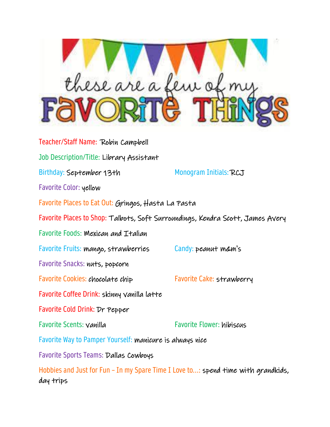

Teacher/Staff Name: Robin Campbell Job Description/Title: Library Assistant Birthday: September 13th Monogram Initials: RCJ Favorite Color: yellow Favorite Places to Eat Out: Gringos, Hasta La Pasta Favorite Places to Shop: Talbots, Soft Surroundings, Kendra Scott, James Avery Favorite Foods: Mexican and Italian Favorite Fruits: mango, strawberries Candy: peanut m&m's Favorite Snacks: nuts, popcorn Favorite Cookies: chocolate chip Favorite Cake: strawberry Favorite Coffee Drink: skinny vanilla latte Favorite Cold Drink: Dr Pepper Favorite Scents: vanilla Favorite Flower: hibiscus Favorite Way to Pamper Yourself: manicure is always nice Favorite Sports Teams: Dallas Cowboys Hobbies and Just for Fun – In my Spare Time I Love to...: spend time with grandkids,

day trips